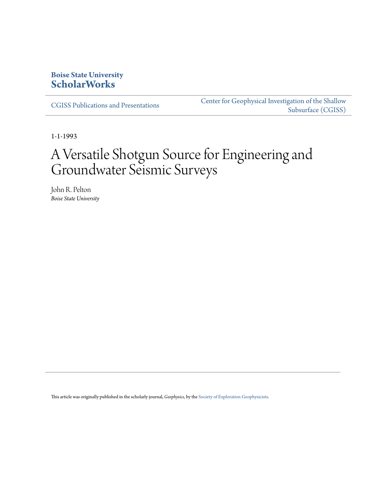## **Boise State University [ScholarWorks](https://scholarworks.boisestate.edu)**

[CGISS Publications and Presentations](https://scholarworks.boisestate.edu/cgiss_facpubs)

[Center for Geophysical Investigation of the Shallow](https://scholarworks.boisestate.edu/cgiss) [Subsurface \(CGISS\)](https://scholarworks.boisestate.edu/cgiss)

1-1-1993

# A Versatile Shotgun Source for Engineering and Groundwater Seismic Surveys

John R. Pelton *Boise State University*

This article was originally published in the scholarly journal, *Geophysics*, by the [Society of Exploration Geophysicists](http://www.seg.org).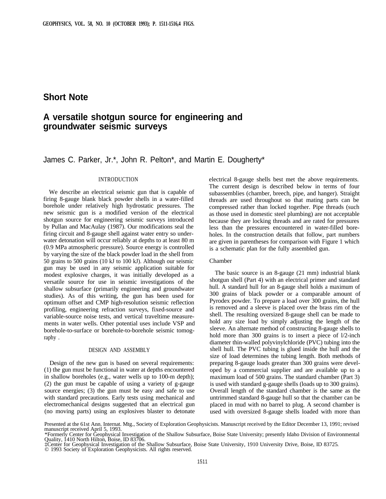## **Short Note**

# **A versatile shotgun source for engineering and groundwater seismic surveys**

### James C. Parker, Jr.\*, John R. Pelton\*, and Martin E. Dougherty\*

#### INTRODUCTION

We describe an electrical seismic gun that is capable of firing 8-gauge blank black powder shells in a water-filled borehole under relatively high hydrostatic pressures. The new seismic gun is a modified version of the electrical shotgun source for engineering seismic surveys introduced by Pullan and MacAulay (1987). Our modifications seal the firing circuit and 8-gauge shell against water entry so underwater detonation will occur reliably at depths to at least 80 m (0.9 MPa atmospheric pressure). Source energy is controlled by varying the size of the black powder load in the shell from 50 grains to 500 grains (10 kJ to 100 kJ). Although our seismic gun may be used in any seismic application suitable for modest explosive charges, it was initially developed as a versatile source for use in seismic investigations of the shallow subsurface (primarily engineering and groundwater studies). As of this writing, the gun has been used for optimum offset and CMP high-resolution seismic reflection profiling, engineering refraction surveys, fixed-source and variable-source noise tests, and vertical traveltime measurements in water wells. Other potential uses include VSP and borehole-to-surface or borehole-to-borehole seismic tomography .

#### DESIGN AND ASSEMBLY

Design of the new gun is based on several requirements: (1) the gun must be functional in water at depths encountered in shallow boreholes (e.g., water wells up to 100-m depth); (2) the gun must be capable of using a variety of g-gauge source energies; (3) the gun must be easy and safe to use with standard precautions. Early tests using mechanical and electromechanical designs suggested that an electrical gun (no moving parts) using an explosives blaster to detonate electrical 8-gauge shells best met the above requirements. The current design is described below in terms of four subassemblies (chamber, breech, pipe, and hanger). Straight threads are used throughout so that mating parts can be compressed rather than locked together. Pipe threads (such as those used in domestic steel plumbing) are not acceptable because they are locking threads and are rated for pressures less than the pressures encountered in water-filled boreholes. In the construction details that follow, part numbers are given in parentheses for comparison with Figure 1 which is a schematic plan for the fully assembled gun.

#### Chamber

The basic source is an 8-gauge (21 mm) industrial blank shotgun shell (Part 4) with an electrical primer and standard hull. A standard hull for an 8-gauge shell holds a maximum of 300 grains of black powder or a comparable amount of Pyrodex powder. To prepare a load over 300 grains, the hull is removed and a sleeve is placed over the brass rim of the shell. The resulting oversized 8-gauge shell can be made to hold any size load by simply adjusting the length of the sleeve. An alternate method of constructing 8-gauge shells to hold more than 300 grains is to insert a piece of  $1/2$ -inch diameter thin-walled polyvinylchloride (PVC) tubing into the shell hull. The PVC tubing is glued inside the hull and the size of load determines the tubing length. Both methods of preparing 8-gauge loads greater than 300 grains were developed by a commercial supplier and are available up to a maximum load of 500 grains. The standard chamber (Part 3) is used with standard g-gauge shells (loads up to 300 grains). Overall length of the standard chamber is the same as the untrimmed standard 8-gauge hull so that the chamber can be placed in mud with no barrel to plug. A second chamber is used with oversized 8-gauge shells loaded with more than

Presented at the 61st Ann. Internat. Mtg., Society of Exploration Geophysicists. Manuscript received by the Editor December 13, 1991; revised manuscript received April 5, 1993.

<sup>\*</sup>Formerly Center for Geophysical Investigation of the Shallow Subsurface, Boise State University; presently Idaho Division of Environmental Quality, 1410 North Hilton, Boise, ID 83706.

<sup>‡</sup>Center for Geophysical Investigation of the Shallow Subsurface, Boise State University, 1910 University Drive, Boise, ID 83725. © 1993 Society of Exploration Geophysicists. All rights reserved.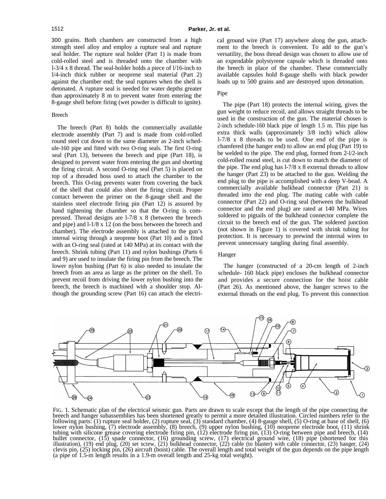300 grains. Both chambers are constructed from a high strength steel alloy and employ a rupture seal and rupture seal holder. The rupture seal holder (Part 1) is made from cold-rolled steel and is threaded onto the chamber with l-3/4 x 8 thread. The seal-holder holds a piece of l/16-inch to l/4-inch thick rubber or neoprene seal material (Part 2) against the chamber end; the seal ruptures when the shell is detonated. A rupture seal is needed for water depths greater than approximately 8 m to prevent water from entering the 8-gauge shell before firing (wet powder is difficult to ignite).

#### Breech

The breech (Part 8) holds the commercially available electrode assembly (Part 7) and is made from cold-rolled round steel cut down to the same diameter as 2-inch schedule-160 pipe and fitted with two O-ring seals. The first O-ring seal (Part 13), between the breech and pipe (Part 18), is designed to prevent water from entering the gun and shorting the firing circuit. A second O-ring seal (Part 5) is placed on top of a threaded boss used to attach the chamber to the breech. This O-ring prevents water from covering the back of the shell that could also short the firing circuit. Proper contact between the primer on the 8-gauge shell and the stainless steel electrode firing pin (Part 12) is assured by hand tightening the chamber so that the O-ring is compressed. Thread designs are l-7/8 x 8 (between the breech and pipe) and l-1/8 x 12 (on the boss between the breech and chamber). The electrode assembly is attached to the gun's internal wiring through a neoprene boot (Part 10) and is fitted with an O-ring seal (rated at 140 MPa) at its contact with the breech. Shrink tubing (Part 11) and nylon bushings (Parts 6 and 9) are used to insulate the firing pin from the breech. The lower nylon bushing (Part 6) is also needed to insulate the breech from an area as large as the primer on the shell. To prevent recoil from driving the lower nylon bushing into the breech, the breech is machined with a shoulder stop. Although the grounding screw (Part 16) can attach the electri-

cal ground wire (Part 17) anywhere along the gun, attachment to the breech is convenient. To add to the gun's versatility, the boss thread design was chosen to allow use of an expendable polystyrene capsule which is threaded onto the breech in place of the chamber. These commercially available capsules hold 8-gauge shells with black powder loads up to 500 grains and are destroyed upon detonation.

#### Pipe

The pipe (Part 18) protects the internal wiring, gives the gun weight to reduce recoil, and allows straight threads to be used in the construction of the gun. The material chosen is 2-inch schedule-160 black pipe of length 1.5 m. This pipe has extra thick walls (approximately 3/8 inch) which allow l-7/8 x 8 threads to be used. One end of the pipe is chamfered (the hanger end) to allow an end plug (Part 19) to be welded to the pipe. The end plug, formed from 2-l/2-inch cold-rolled round steel, is cut down to match the diameter of the pipe. The end plug has l-7/8 x 8 external threads to allow the hanger (Part 23) to be attached to the gun. Welding the end plug to the pipe is accomplished with a deep V-bead. A commercially available bulkhead connector (Part 21) is threaded into the end plug. The mating cable with cable connector (Part 22) and O-ring seal (between the bulkhead connector and the end plug) are rated at 140 MPa. Wires soldered to pigtails of the bulkhead connector complete the circuit to the breech end of the gun. The soldered junction (not shown in Figure 1) is covered with shrink tubing for protection. It is necessary to prewind the internal wires to prevent unnecessary tangling during final assembly.

#### Hanger

The hanger (constructed of a 20-cm length of 2-inch schedule- 160 black pipe) encloses the bulkhead connector and provides a secure connection for the hoist cable (Part 26). As mentioned above, the hanger screws to the external threads on the end plug. To prevent this connection



FIG. 1. Schematic plan of the electrical seismic gun. Parts are drawn to scale except that the length of the pipe connecting the breech and hanger subassemblies has been shortened greatly to permit a more detailed illustration. Circled numbers refer to the following parts: (1) rupture seal holder, (2) rupture seal, (3) standard chamber, (4) 8-gauge shell, (5) O-ring at base of shell, (6) lower nylon bushing, (7) electrode assembly, (8) breech, (9) upper nylon bushing, (10) neoprene electrode boot, (11) shrink tubing with silicone grease covering electrode firing pin, (12) electrode firing pin, (13) O-ring between pipe and breech, (14) bullet connector, (15) spade connector, (16) grounding screw, (17) electrical ground wire, (18) pipe (shortened for this illustration), (19) end plug, (20) set screw, (21) bulkhead connector, (22) cable (to blaster) with cable connector, (23) hanger, (24) clevis pin, (25) locking pin, (26) aircraft (hoist) cable. The overall length and total weight of the gun depends on the pipe length (a pipe of 1.5-m length results in a 1.9-m overall length and 25-kg total weight).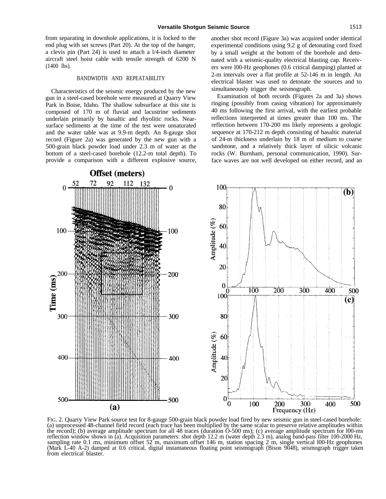from separating in downhole applications, it is locked to the end plug with set screws (Part 20). At the top of the hanger, a clevis pin (Part 24) is used to attach a l/4-inch diameter aircraft steel hoist cable with tensile strength of 6200 N (1400 lbs).

#### BANDWIDTH AND REPEATABILITY

Characteristics of the seismic energy produced by the new gun in a steel-cased borehole were measured at Quarry View Park in Boise, Idaho. The shallow subsurface at this site is composed of 170 m of fluvial and lacustrine sediments underlain primarily by basaltic and rhyolitic rocks. Nearsurface sediments at the time of the test were unsaturated and the water table was at 9.9-m depth. An 8-gauge shot record (Figure 2a) was generated by the new gun with a 500-grain black powder load under 2.3 m of water at the bottom of a steel-cased borehole (12.2-m total depth). To provide a comparison with a different explosive source, another shot record (Figure 3a) was acquired under identical experimental conditions using 9.2 g of detonating cord fixed by a small weight at the bottom of the borehole and detonated with a seismic-quality electrical blasting cap. Receivers were l00-Hz geophones (0.6 critical damping) planted at 2-m intervals over a flat profile at 52-146 m in length. An electrical blaster was used to detonate the sources and to simultaneously trigger the seismograph.

Examination of both records (Figures 2a and 3a) shows ringing (possibly from casing vibration) for approximately 40 ms following the first arrival, with the earliest probable reflections interpreted at times greater than 100 ms. The reflection between 170-200 ms likely represents a geologic sequence at 170-212 m depth consisting of basaltic material of 24-m thickness underlain by 18 m of medium to coarse sandstone, and a relatively thick layer of silicic volcanic rocks (W. Burnham, personal communication, 1990). Surface waves are not well developed on either record, and an



FIG. 2. Quarry View Park source test for 8-gauge 500-grain black powder load fired by new seismic gun in steel-cased borehole: (a) unprocessed 48-channel field record (each trace has been multiplied by the same scalar to preserve relative amplitudes within the record); (b) average amplitude spectrum for all 48 traces (duration O-500 ms); (c) average amplitude spectrum for l00-ms reflection window shown in (a). Acquisition parameters: shot depth 12.2 m (water depth 2.3 m), analog band-pass filter 100-2000 Hz, sampling rate 0.1 ms, minimum offset 52 m, maximum offset 146 m, station spacing 2 m, single vertical 100-Hz geophones (Mark L-40 A-2) damped at 0.6 critical, digital instantaneous floating point seismograph (Bison 9048), seismograph trigger taken from electrical blaster.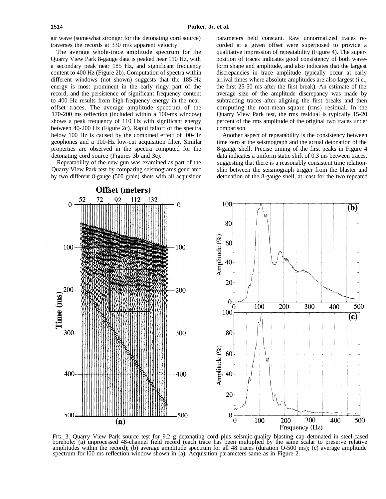air wave (somewhat stronger for the detonating cord source) traverses the records at 330 m/s apparent velocity.

The average whole-trace amplitude spectrum for the Quarry View Park 8-gauge data is peaked near 110 Hz, with a secondary peak near 185 Hz, and significant frequency content to 400 Hz (Figure 2b). Computation of spectra within different windows (not shown) suggests that the 185-Hz energy is most prominent in the early ringy part of the record, and the persistence of significant frequency content to 400 Hz results from high-frequency energy in the nearoffset traces. The average amplitude spectrum of the 170-200 ms reflection (included within a 100-ms window) shows a peak frequency of 110 Hz with significant energy between 40-200 Hz (Figure 2c). Rapid falloff of the spectra below 100 Hz is caused by the combined effect of l00-Hz geophones and a 100-Hz low-cut acquisition filter. Similar properties are observed in the spectra computed for the detonating cord source (Figures 3b and 3c).

Repeatability of the new gun was examined as part of the Quarry View Park test by comparing seismograms generated by two different 8-gauge (500 grain) shots with all acquisition parameters held constant. Raw unnormalized traces recorded at a given offset were superposed to provide a qualitative impression of repeatability (Figure 4). The superposition of traces indicates good consistency of both waveform shape and amplitude, and also indicates that the largest discrepancies in trace amplitude typically occur at early arrival times where absolute amplitudes are also largest (i.e., the first 25-50 ms after the first break). An estimate of the average size of the amplitude discrepancy was made by subtracting traces after aligning the first breaks and then computing the root-mean-square (rms) residual. In the Quarry View Park test, the rms residual is typically 15-20 percent of the rms amplitude of the original two traces under comparison.

Another aspect of repeatability is the consistency between time zero at the seismograph and the actual detonation of the 8-gauge shell. Precise timing of the first peaks in Figure 4 data indicates a uniform static shift of 0.3 ms between traces, suggesting that there is a reasonably consistent time relationship between the seismograph trigger from the blaster and detonation of the 8-gauge shell, at least for the two repeated



FIG. 3. Quarry View Park source test for 9.2 g detonating cord plus seismic-quality blasting cap detonated in steel-cased borehole: (a) unprocessed 48-channel field record (each trace has been multiplied by the same scalar to preserve relative amplitudes within the record); (b) average amplitude spectrum for all 48 traces (duration O-500 ms); (c) average amplitude spectrum for 100-ms reflection window shown in (a). Acquisition parameters same as in Figure 2.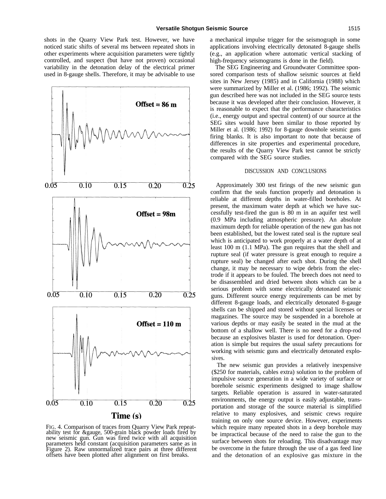shots in the Quarry View Park test. However, we have noticed static shifts of several ms between repeated shots in other experiments where acquisition parameters were tightly controlled, and suspect (but have not proven) occasional variability in the detonation delay of the electrical primer used in 8-gauge shells. Therefore, it may be advisable to use



FIG. 4. Comparison of traces from Quarry View Park repeatability test for &gauge, 500-grain black powder loads fired by new seismic gun. Gun was fired twice with all acquisition parameters held constant (acquisition parameters same as in Figure 2). Raw unnormalized trace pairs at three different offsets have been plotted after alignment on first breaks.

a mechanical impulse trigger for the seismograph in some applications involving electrically detonated 8-gauge shells (e.g., an application where automatic vertical stacking of high-frequency seismograms is done in the field).

The SEG Engineering and Groundwater Committee sponsored comparison tests of shallow seismic sources at field sites in New Jersey (1985) and in California (1988) which were summarized by Miller et al. (1986; 1992). The seismic gun described here was not included in the SEG source tests because it was developed after their conclusion. However, it is reasonable to expect that the performance characteristics (i.e., energy output and spectral content) of our source at the SEG sites would have been similar to those reported by Miller et al. (1986; 1992) for 8-gauge downhole seismic guns firing blanks. It is also important to note that because of differences in site properties and experimental procedure, the results of the Quarry View Park test cannot be strictly compared with the SEG source studies.

#### DISCUSSION AND CONCLUSIONS

Approximately 300 test firings of the new seismic gun confirm that the seals function properly and detonation is reliable at different depths in water-filled boreholes. At present, the maximum water depth at which we have successfully test-fired the gun is 80 m in an aquifer test well (0.9 MPa including atmospheric pressure). An absolute maximum depth for reliable operation of the new gun has not been established, but the lowest rated seal is the rupture seal which is anticipated to work properly at a water depth of at least 100 m (1.1 MPa). The gun requires that the shell and rupture seal (if water pressure is great enough to require a rupture seal) be changed after each shot. During the shell change, it may be necessary to wipe debris from the electrode if it appears to be fouled. The breech does not need to be disassembled and dried between shots which can be a serious problem with some electrically detonated seismic guns. Different source energy requirements can be met by different 8-gauge loads, and electrically detonated 8-gauge shells can be shipped and stored without special licenses or magazines. The source may be suspended in a borehole at various depths or may easily be seated in the mud at the bottom of a shallow well. There is no need for a drop-rod because an explosives blaster is used for detonation. Operation is simple but requires the usual safety precautions for working with seismic guns and electrically detonated explosives.

The new seismic gun provides a relatively inexpensive (\$250 for materials, cables extra) solution to the problem of impulsive source generation in a wide variety of surface or borehole seismic experiments designed to image shallow targets. Reliable operation is assured in water-saturated environments, the energy output is easily adjustable, transportation and storage of the source material is simplified relative to many explosives, and seismic crews require training on only one source device. However, experiments which require many repeated shots in a deep borehole may be impractical because of the need to raise the gun to the surface between shots for reloading. This disadvantage may be overcome in the future through the use of a gas feed line and the detonation of an explosive gas mixture in the